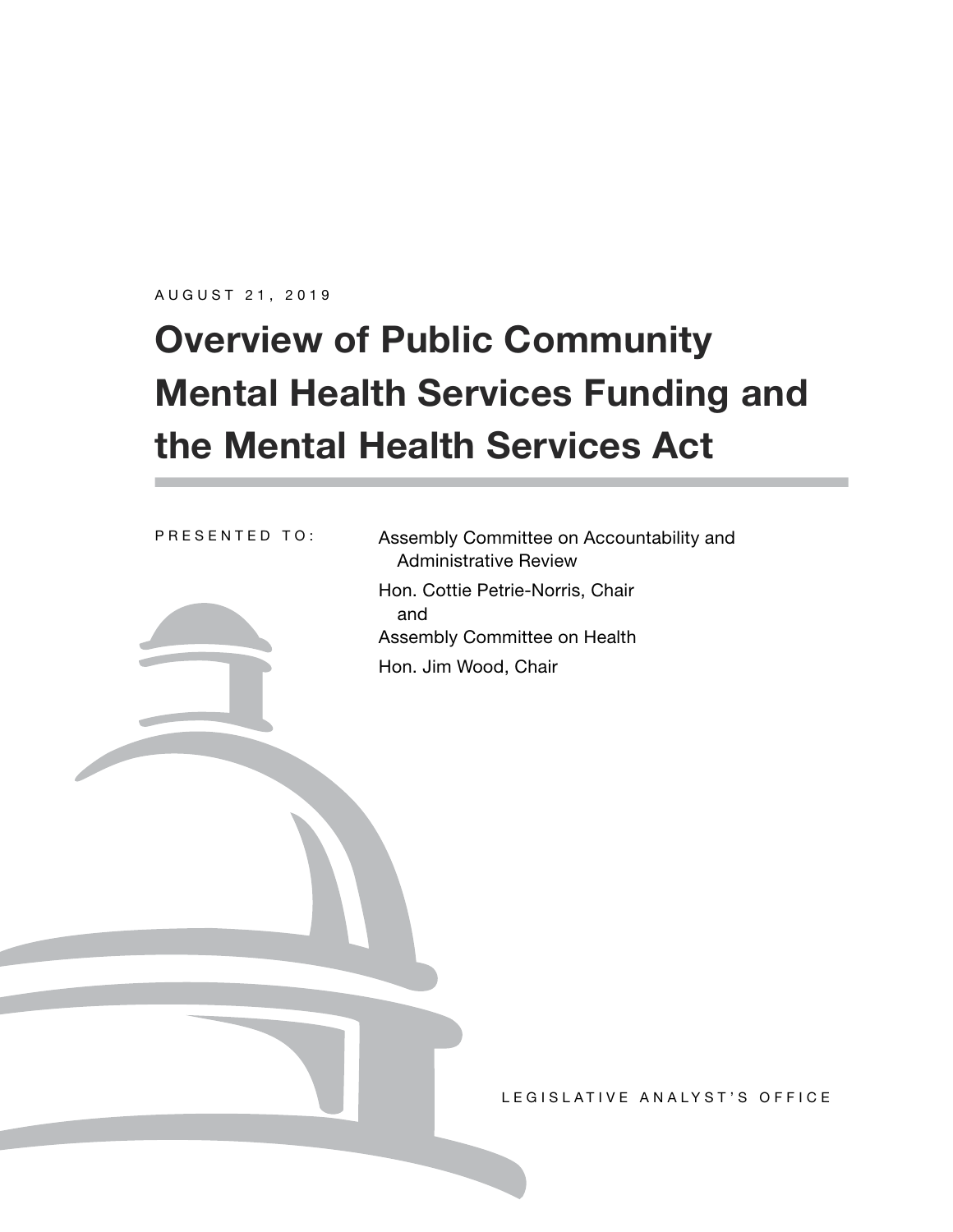AUGUST 21, 2019

# **Overview of Public Community Mental Health Services Funding and the Mental Health Services Act**

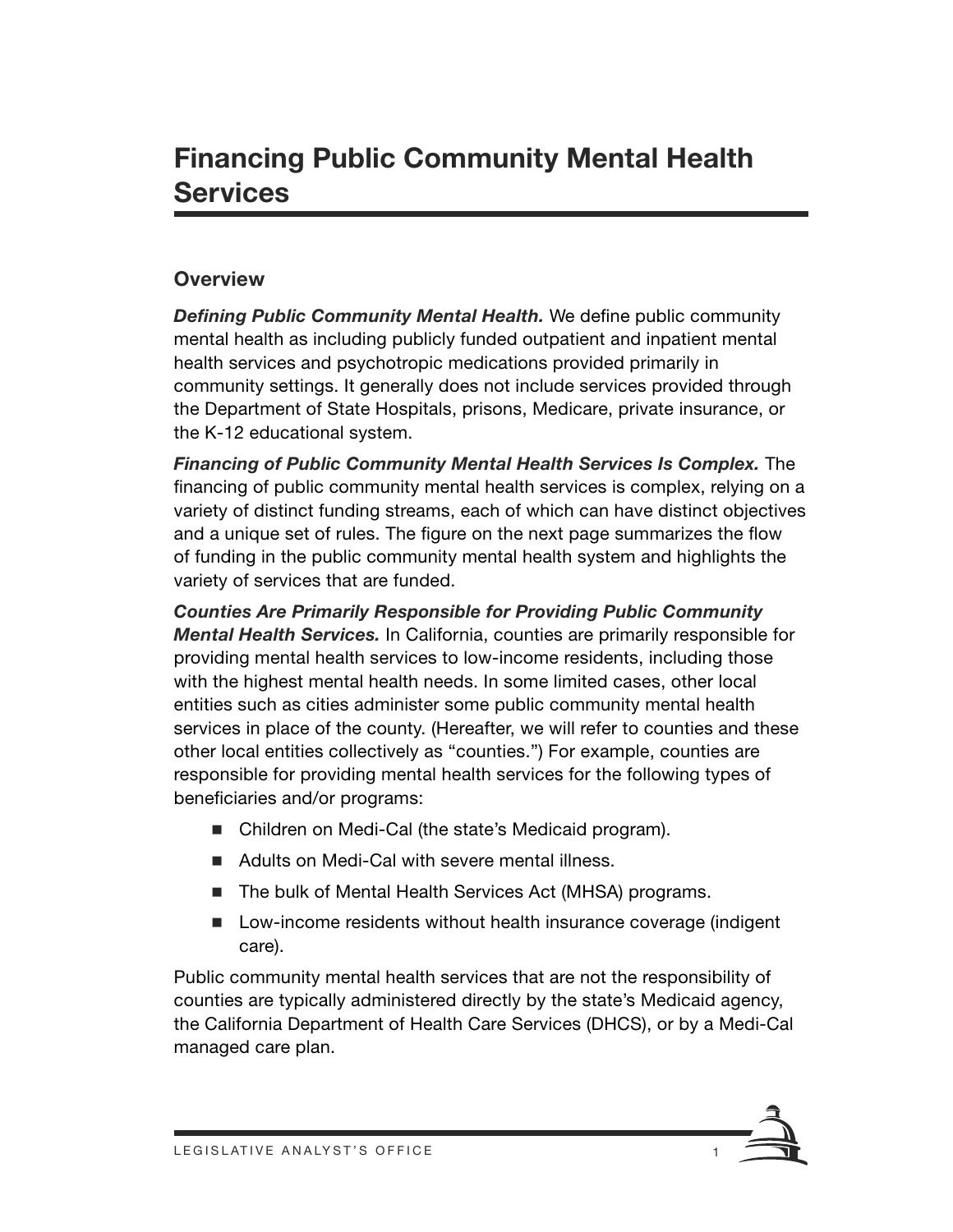#### **Overview**

*Defining Public Community Mental Health.* We define public community mental health as including publicly funded outpatient and inpatient mental health services and psychotropic medications provided primarily in community settings. It generally does not include services provided through the Department of State Hospitals, prisons, Medicare, private insurance, or the K-12 educational system.

*Financing of Public Community Mental Health Services Is Complex.* The financing of public community mental health services is complex, relying on a variety of distinct funding streams, each of which can have distinct objectives and a unique set of rules. The figure on the next page summarizes the flow of funding in the public community mental health system and highlights the variety of services that are funded.

*Counties Are Primarily Responsible for Providing Public Community Mental Health Services.* In California, counties are primarily responsible for providing mental health services to low-income residents, including those with the highest mental health needs. In some limited cases, other local entities such as cities administer some public community mental health services in place of the county. (Hereafter, we will refer to counties and these other local entities collectively as "counties.") For example, counties are responsible for providing mental health services for the following types of beneficiaries and/or programs:

- Children on Medi-Cal (the state's Medicaid program).
- Adults on Medi-Cal with severe mental illness.
- The bulk of Mental Health Services Act (MHSA) programs.
- Low-income residents without health insurance coverage (indigent care).

Public community mental health services that are not the responsibility of counties are typically administered directly by the state's Medicaid agency, the California Department of Health Care Services (DHCS), or by a Medi-Cal managed care plan.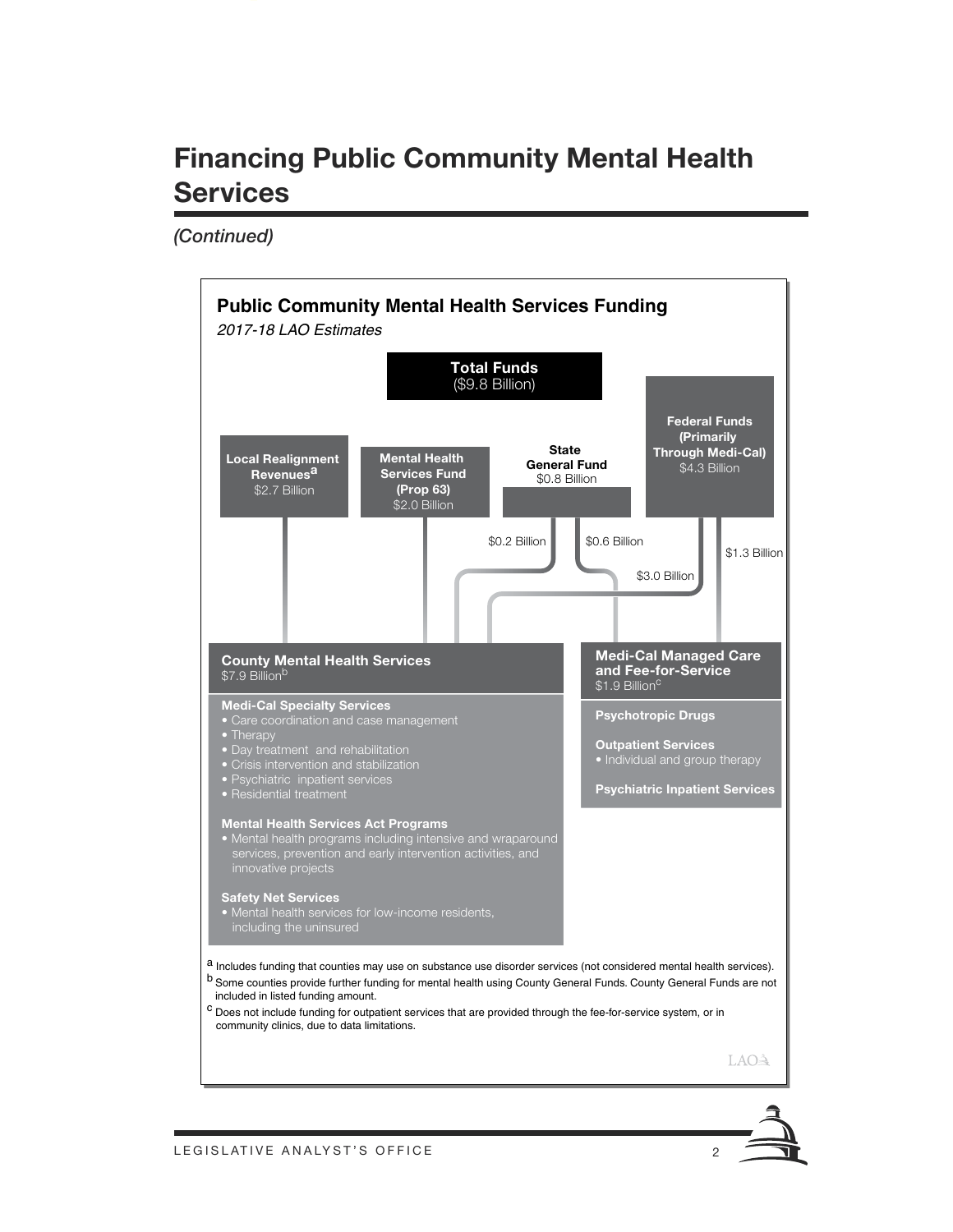Handout\_Template.ait **ARTWORK #190497**



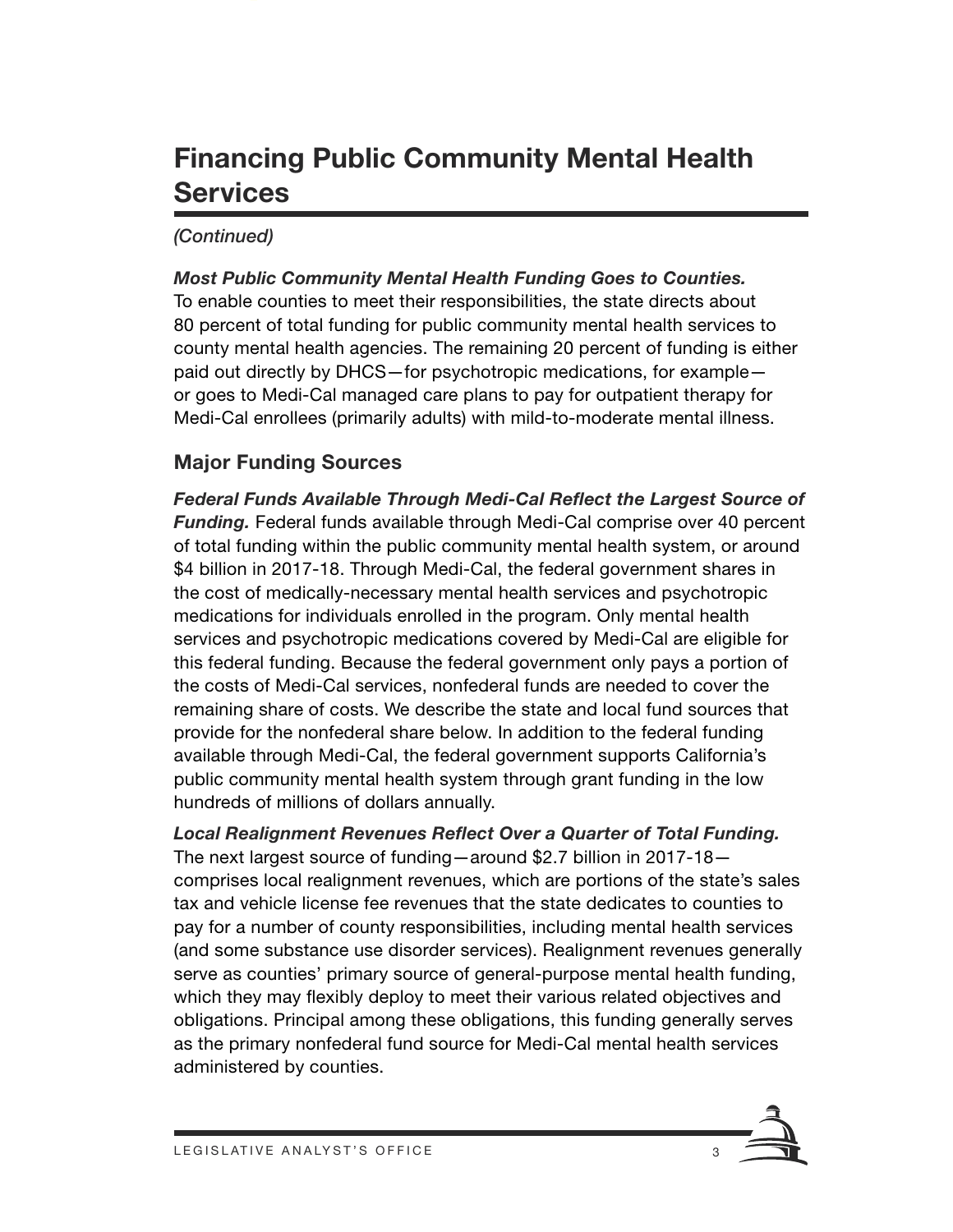#### *(Continued)*

*Most Public Community Mental Health Funding Goes to Counties.*  To enable counties to meet their responsibilities, the state directs about 80 percent of total funding for public community mental health services to county mental health agencies. The remaining 20 percent of funding is either paid out directly by DHCS—for psychotropic medications, for example or goes to Medi-Cal managed care plans to pay for outpatient therapy for Medi-Cal enrollees (primarily adults) with mild-to-moderate mental illness.

#### **Major Funding Sources**

*Federal Funds Available Through Medi-Cal Reflect the Largest Source of Funding.* Federal funds available through Medi-Cal comprise over 40 percent of total funding within the public community mental health system, or around \$4 billion in 2017-18. Through Medi-Cal, the federal government shares in the cost of medically-necessary mental health services and psychotropic medications for individuals enrolled in the program. Only mental health services and psychotropic medications covered by Medi-Cal are eligible for this federal funding. Because the federal government only pays a portion of the costs of Medi-Cal services, nonfederal funds are needed to cover the remaining share of costs. We describe the state and local fund sources that provide for the nonfederal share below. In addition to the federal funding available through Medi-Cal, the federal government supports California's public community mental health system through grant funding in the low hundreds of millions of dollars annually.

*Local Realignment Revenues Reflect Over a Quarter of Total Funding.*  The next largest source of funding—around \$2.7 billion in 2017-18 comprises local realignment revenues, which are portions of the state's sales tax and vehicle license fee revenues that the state dedicates to counties to pay for a number of county responsibilities, including mental health services (and some substance use disorder services). Realignment revenues generally serve as counties' primary source of general-purpose mental health funding, which they may flexibly deploy to meet their various related objectives and obligations. Principal among these obligations, this funding generally serves as the primary nonfederal fund source for Medi-Cal mental health services administered by counties.

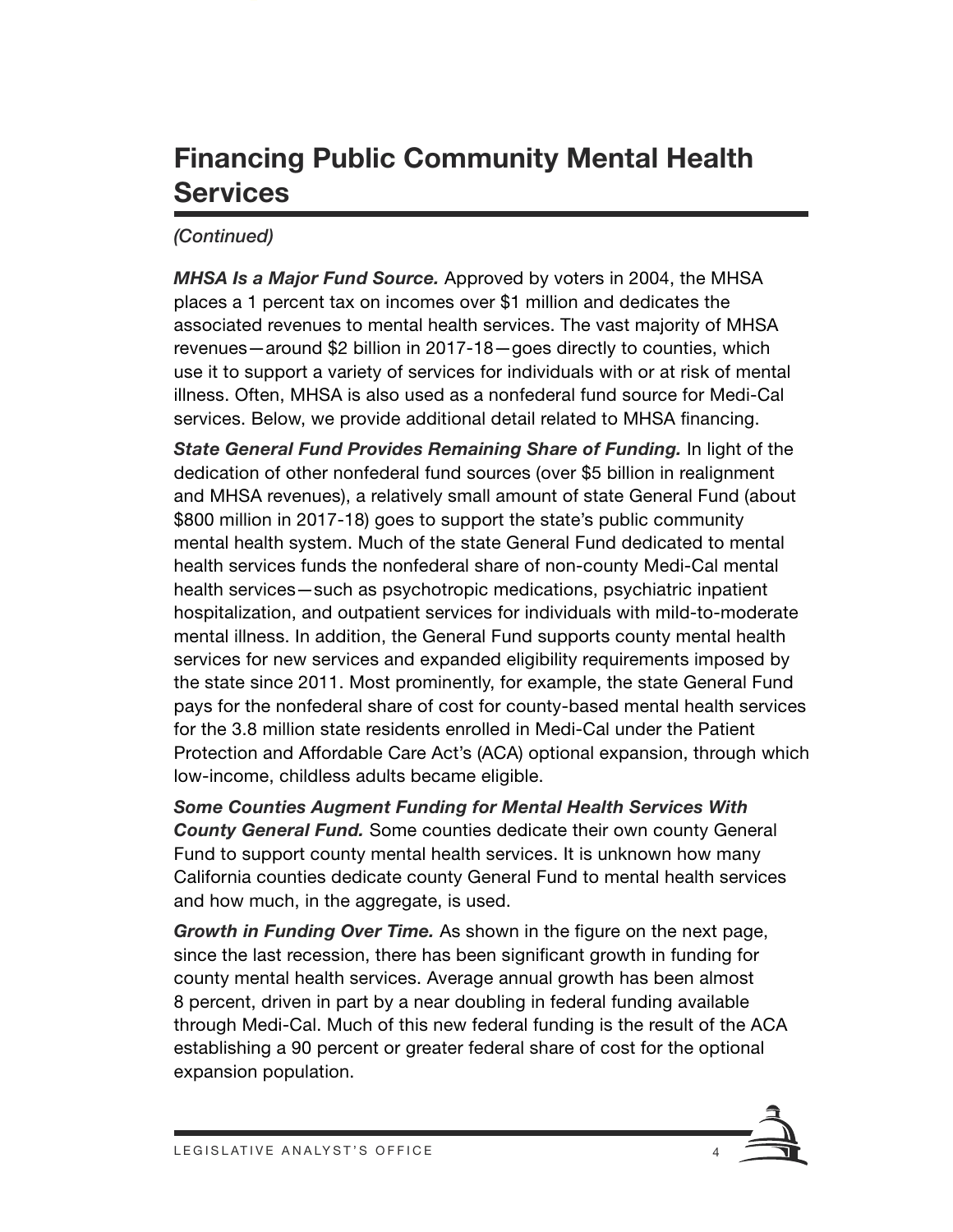#### *(Continued)*

*MHSA Is a Major Fund Source.* Approved by voters in 2004, the MHSA places a 1 percent tax on incomes over \$1 million and dedicates the associated revenues to mental health services. The vast majority of MHSA revenues—around \$2 billion in 2017-18—goes directly to counties, which use it to support a variety of services for individuals with or at risk of mental illness. Often, MHSA is also used as a nonfederal fund source for Medi-Cal services. Below, we provide additional detail related to MHSA financing.

**State General Fund Provides Remaining Share of Funding.** In light of the dedication of other nonfederal fund sources (over \$5 billion in realignment and MHSA revenues), a relatively small amount of state General Fund (about \$800 million in 2017-18) goes to support the state's public community mental health system. Much of the state General Fund dedicated to mental health services funds the nonfederal share of non-county Medi-Cal mental health services—such as psychotropic medications, psychiatric inpatient hospitalization, and outpatient services for individuals with mild-to-moderate mental illness. In addition, the General Fund supports county mental health services for new services and expanded eligibility requirements imposed by the state since 2011. Most prominently, for example, the state General Fund pays for the nonfederal share of cost for county-based mental health services for the 3.8 million state residents enrolled in Medi-Cal under the Patient Protection and Affordable Care Act's (ACA) optional expansion, through which low-income, childless adults became eligible.

*Some Counties Augment Funding for Mental Health Services With County General Fund.* Some counties dedicate their own county General Fund to support county mental health services. It is unknown how many California counties dedicate county General Fund to mental health services and how much, in the aggregate, is used.

*Growth in Funding Over Time.* As shown in the figure on the next page, since the last recession, there has been significant growth in funding for county mental health services. Average annual growth has been almost 8 percent, driven in part by a near doubling in federal funding available through Medi-Cal. Much of this new federal funding is the result of the ACA establishing a 90 percent or greater federal share of cost for the optional expansion population.

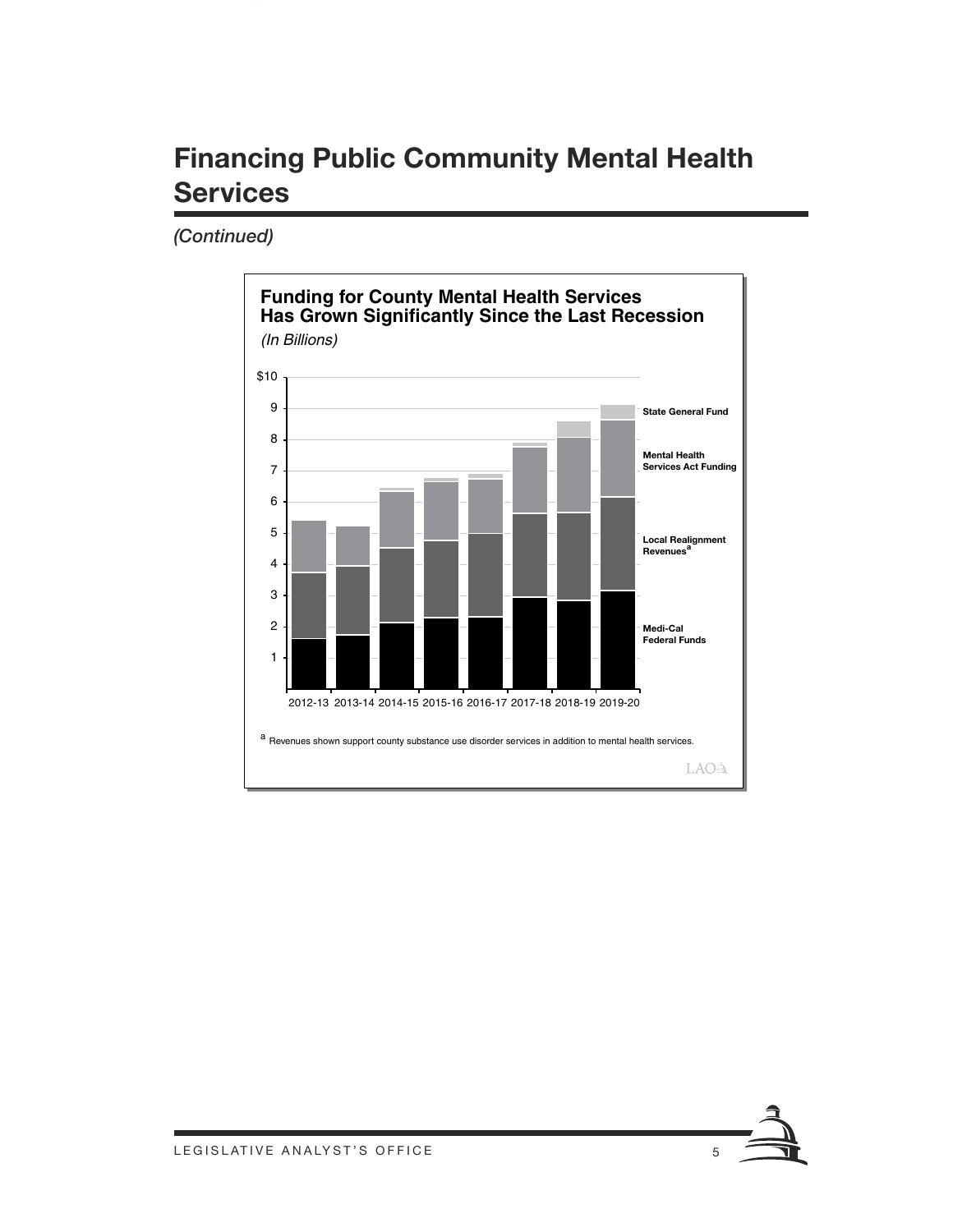

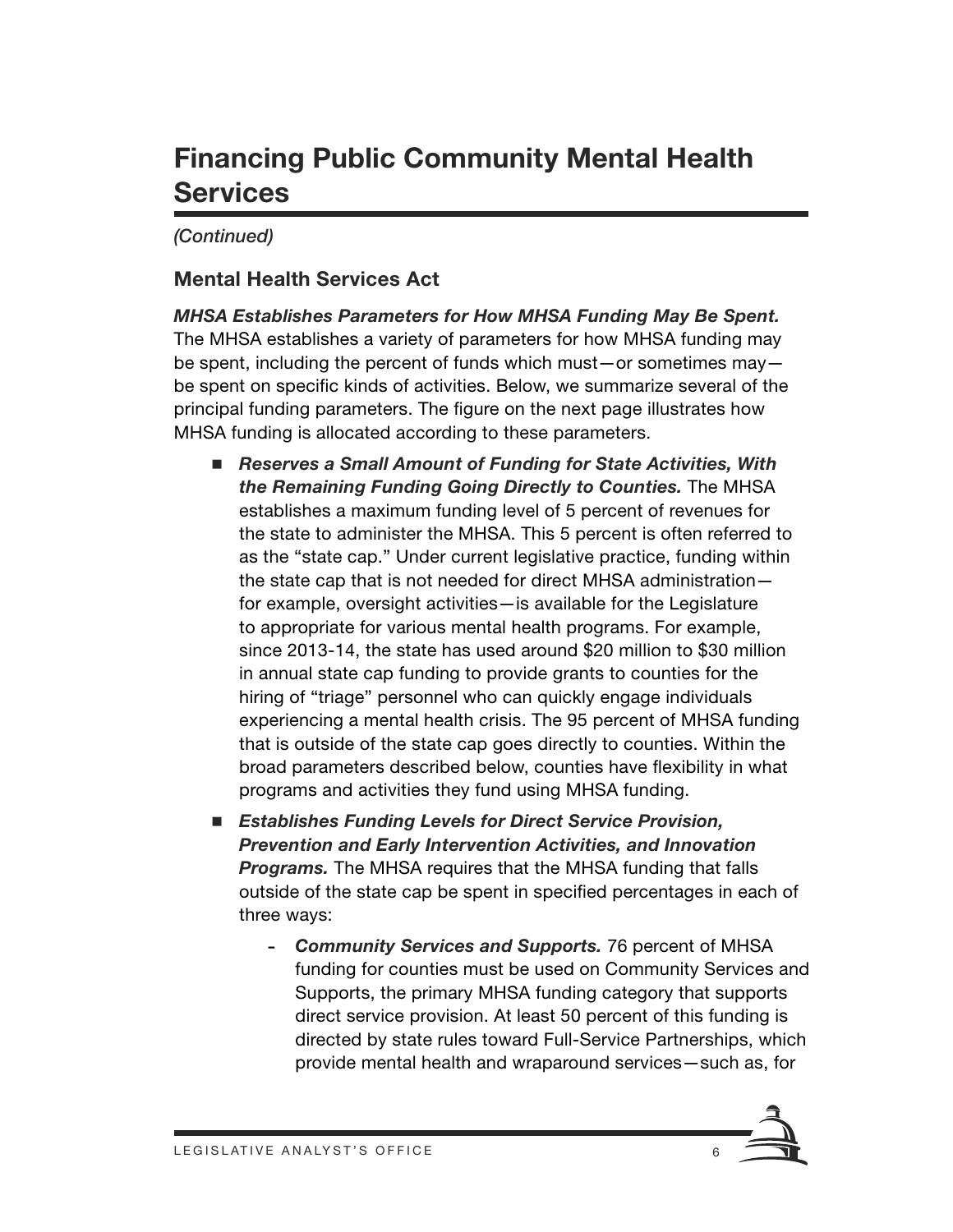#### *(Continued)*

#### **Mental Health Services Act**

*MHSA Establishes Parameters for How MHSA Funding May Be Spent.*  The MHSA establishes a variety of parameters for how MHSA funding may be spent, including the percent of funds which must—or sometimes may be spent on specific kinds of activities. Below, we summarize several of the principal funding parameters. The figure on the next page illustrates how MHSA funding is allocated according to these parameters.

- Reserves a Small Amount of Funding for State Activities, With *the Remaining Funding Going Directly to Counties.* The MHSA establishes a maximum funding level of 5 percent of revenues for the state to administer the MHSA. This 5 percent is often referred to as the "state cap." Under current legislative practice, funding within the state cap that is not needed for direct MHSA administration for example, oversight activities—is available for the Legislature to appropriate for various mental health programs. For example, since 2013-14, the state has used around \$20 million to \$30 million in annual state cap funding to provide grants to counties for the hiring of "triage" personnel who can quickly engage individuals experiencing a mental health crisis. The 95 percent of MHSA funding that is outside of the state cap goes directly to counties. Within the broad parameters described below, counties have flexibility in what programs and activities they fund using MHSA funding.
- Establishes Funding Levels for Direct Service Provision, *Prevention and Early Intervention Activities, and Innovation Programs.* The MHSA requires that the MHSA funding that falls outside of the state cap be spent in specified percentages in each of three ways:
	- *Community Services and Supports.* 76 percent of MHSA funding for counties must be used on Community Services and Supports, the primary MHSA funding category that supports direct service provision. At least 50 percent of this funding is directed by state rules toward Full-Service Partnerships, which provide mental health and wraparound services—such as, for

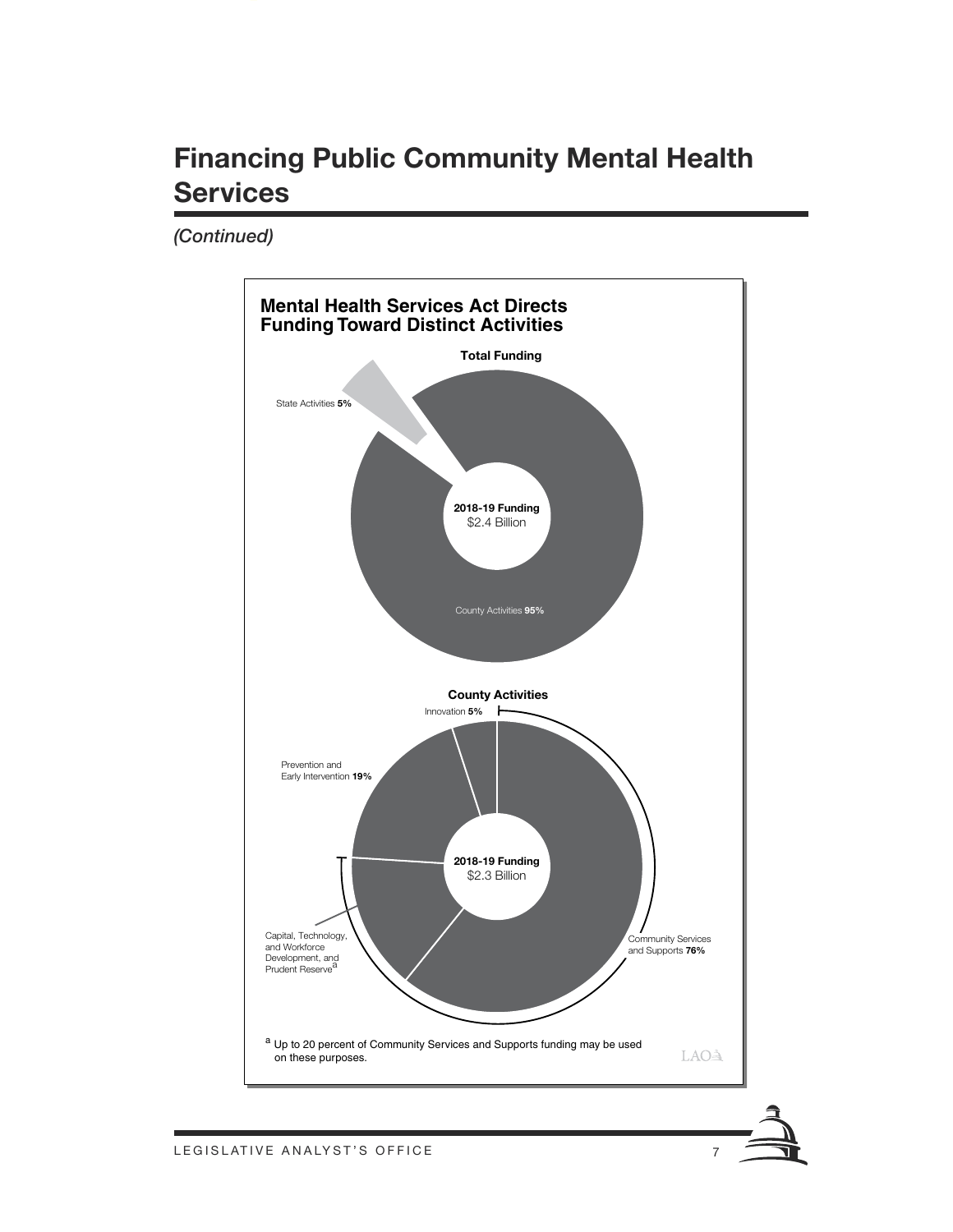Handout\_Template.ait **ARTWORK #190497**

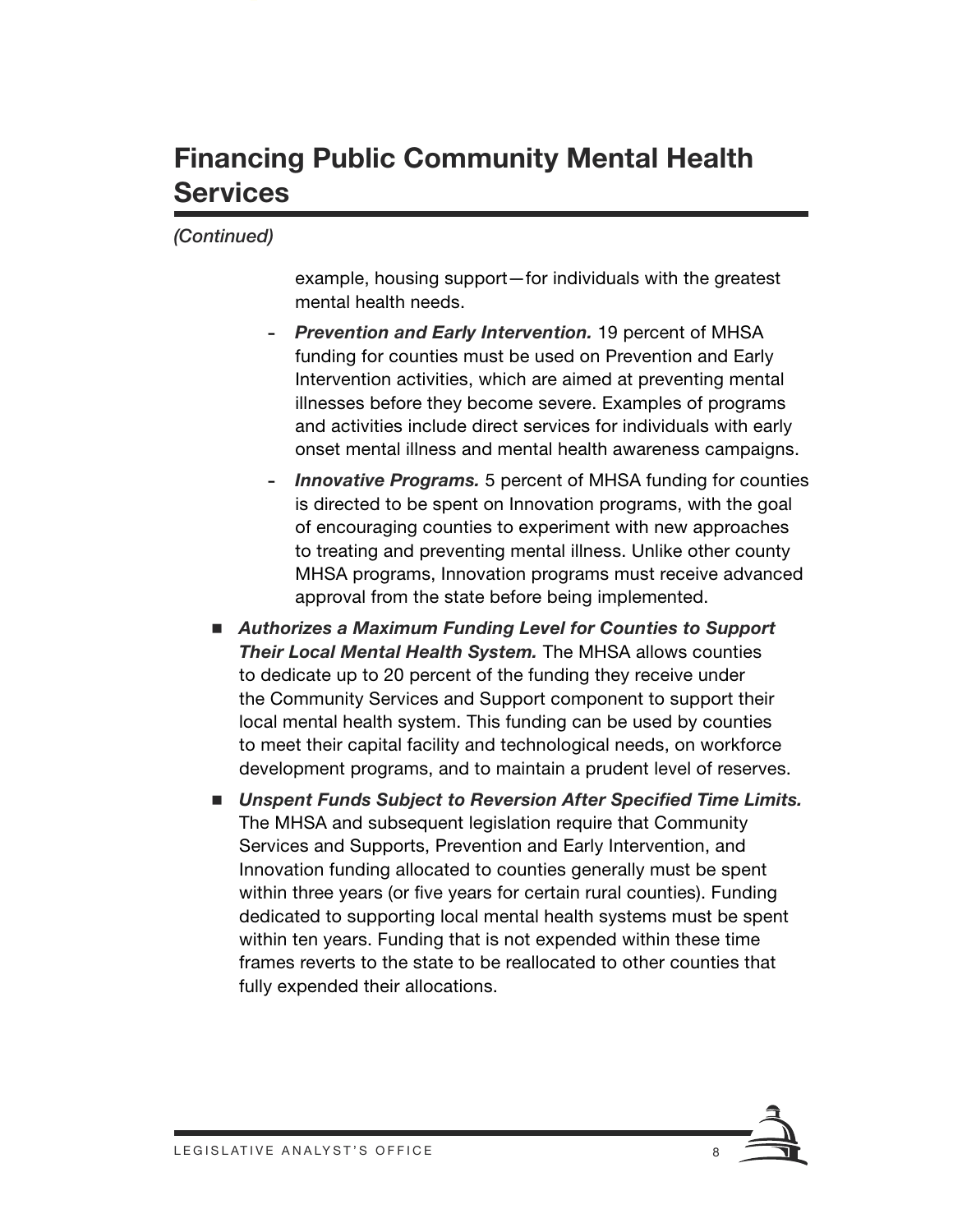#### *(Continued)*

example, housing support—for individuals with the greatest mental health needs.

- *Prevention and Early Intervention.* 19 percent of MHSA funding for counties must be used on Prevention and Early Intervention activities, which are aimed at preventing mental illnesses before they become severe. Examples of programs and activities include direct services for individuals with early onset mental illness and mental health awareness campaigns.
- *Innovative Programs.* 5 percent of MHSA funding for counties is directed to be spent on Innovation programs, with the goal of encouraging counties to experiment with new approaches to treating and preventing mental illness. Unlike other county MHSA programs, Innovation programs must receive advanced approval from the state before being implemented.
- Authorizes a Maximum Funding Level for Counties to Support *Their Local Mental Health System.* The MHSA allows counties to dedicate up to 20 percent of the funding they receive under the Community Services and Support component to support their local mental health system. This funding can be used by counties to meet their capital facility and technological needs, on workforce development programs, and to maintain a prudent level of reserves.
- Unspent Funds Subject to Reversion After Specified Time Limits. The MHSA and subsequent legislation require that Community Services and Supports, Prevention and Early Intervention, and Innovation funding allocated to counties generally must be spent within three years (or five years for certain rural counties). Funding dedicated to supporting local mental health systems must be spent within ten years. Funding that is not expended within these time frames reverts to the state to be reallocated to other counties that fully expended their allocations.

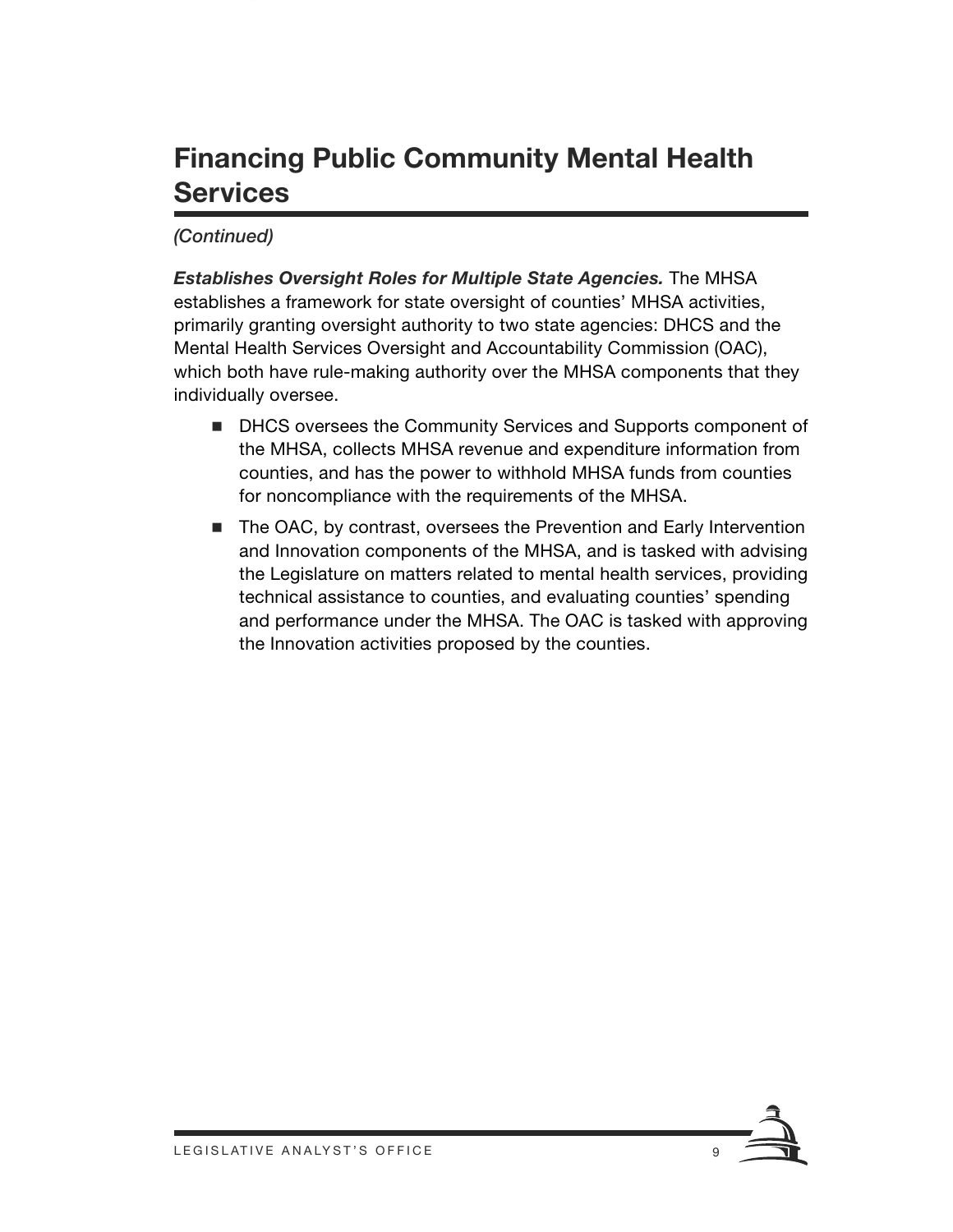#### *(Continued)*

*Establishes Oversight Roles for Multiple State Agencies.* The MHSA establishes a framework for state oversight of counties' MHSA activities, primarily granting oversight authority to two state agencies: DHCS and the Mental Health Services Oversight and Accountability Commission (OAC), which both have rule-making authority over the MHSA components that they individually oversee.

- **DHCS oversees the Community Services and Supports component of** the MHSA, collects MHSA revenue and expenditure information from counties, and has the power to withhold MHSA funds from counties for noncompliance with the requirements of the MHSA.
- The OAC, by contrast, oversees the Prevention and Early Intervention and Innovation components of the MHSA, and is tasked with advising the Legislature on matters related to mental health services, providing technical assistance to counties, and evaluating counties' spending and performance under the MHSA. The OAC is tasked with approving the Innovation activities proposed by the counties.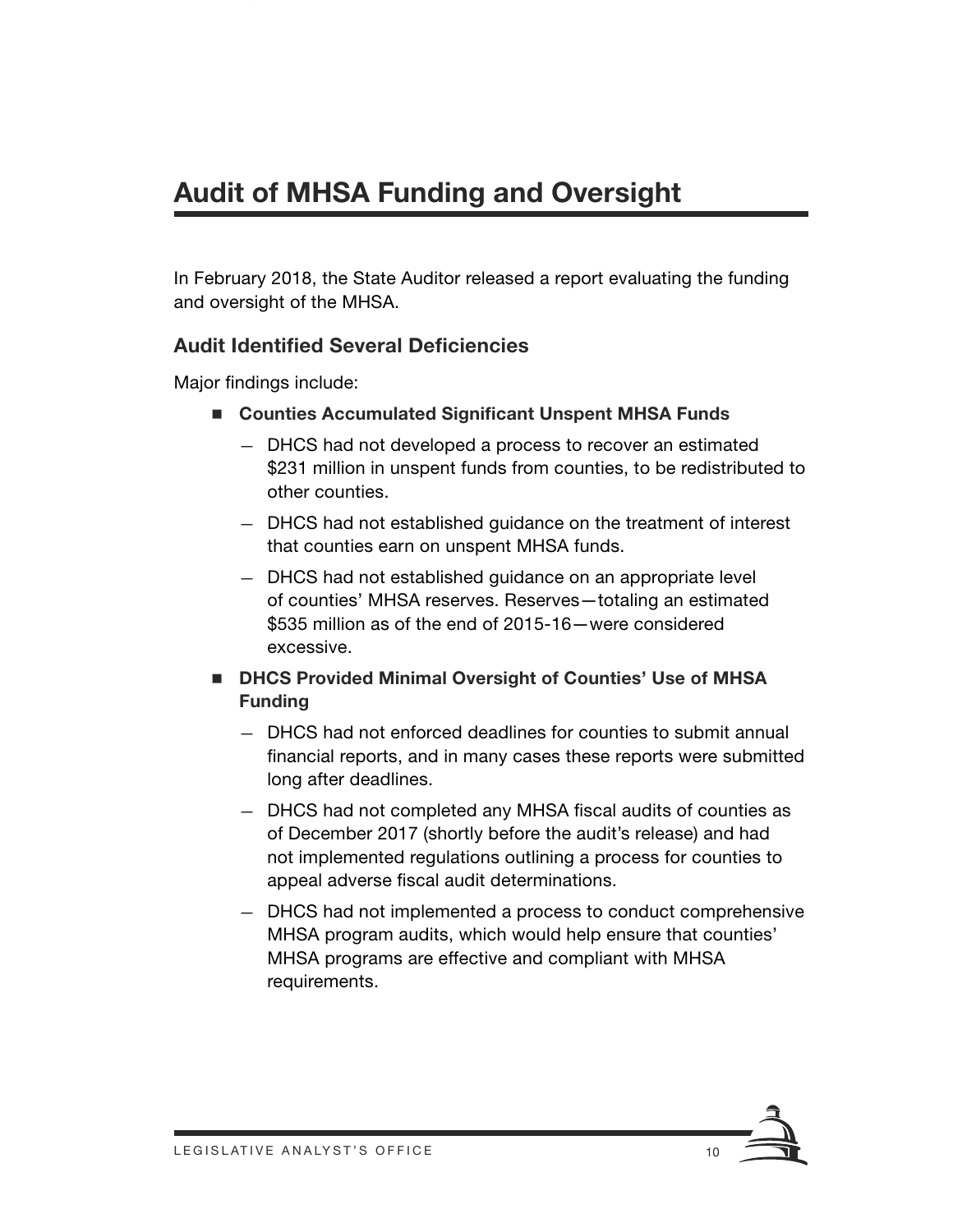In February 2018, the State Auditor released a report evaluating the funding and oversight of the MHSA.

#### **Audit Identified Several Deficiencies**

Major findings include:

- Counties Accumulated Significant Unspent MHSA Funds
	- DHCS had not developed a process to recover an estimated \$231 million in unspent funds from counties, to be redistributed to other counties.
	- DHCS had not established guidance on the treatment of interest that counties earn on unspent MHSA funds.
	- DHCS had not established guidance on an appropriate level of counties' MHSA reserves. Reserves—totaling an estimated \$535 million as of the end of 2015-16—were considered excessive.
- **DHCS Provided Minimal Oversight of Counties' Use of MHSA Funding**
	- DHCS had not enforced deadlines for counties to submit annual financial reports, and in many cases these reports were submitted long after deadlines.
	- DHCS had not completed any MHSA fiscal audits of counties as of December 2017 (shortly before the audit's release) and had not implemented regulations outlining a process for counties to appeal adverse fiscal audit determinations.
	- DHCS had not implemented a process to conduct comprehensive MHSA program audits, which would help ensure that counties' MHSA programs are effective and compliant with MHSA requirements.

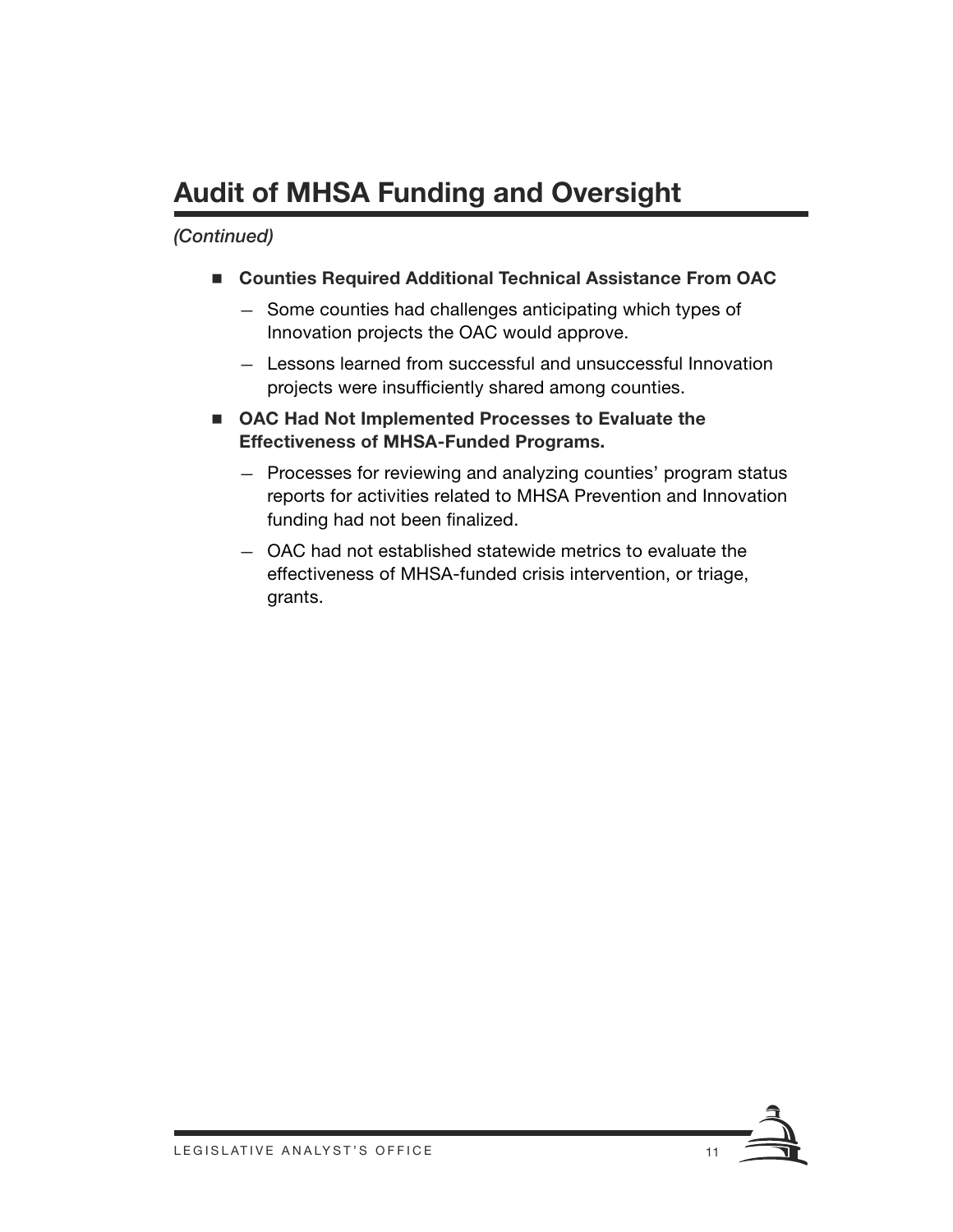# **Audit of MHSA Funding and Oversight**

- **Counties Required Additional Technical Assistance From OAC**
	- Some counties had challenges anticipating which types of Innovation projects the OAC would approve.
	- Lessons learned from successful and unsuccessful Innovation projects were insufficiently shared among counties.
- OAC Had Not Implemented Processes to Evaluate the **Effectiveness of MHSA-Funded Programs.**
	- Processes for reviewing and analyzing counties' program status reports for activities related to MHSA Prevention and Innovation funding had not been finalized.
	- OAC had not established statewide metrics to evaluate the effectiveness of MHSA-funded crisis intervention, or triage, grants.

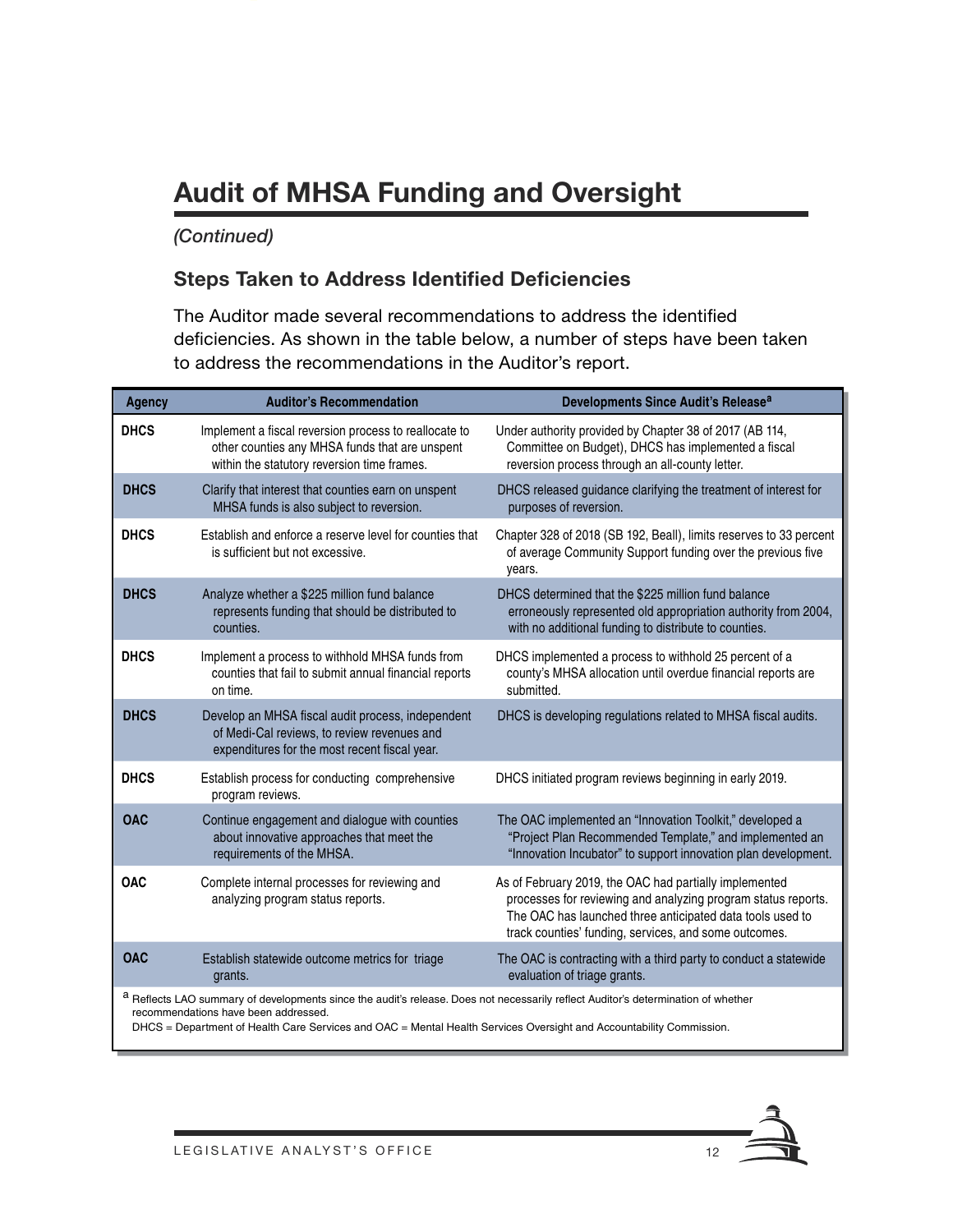# **Audit of MHSA Funding and Oversight**

#### *(Continued)*

#### **Steps Taken to Address Identified Deficiencies**

The Auditor made several recommendations to address the identified deficiencies. As shown in the table below, a number of steps have been taken to address the recommendations in the Auditor's report.

| <b>Agency</b>                                                                                                                                                                                                                                                                                    | <b>Auditor's Recommendation</b>                                                                                                                        | Developments Since Audit's Release <sup>a</sup>                                                                                                                                                                                               |
|--------------------------------------------------------------------------------------------------------------------------------------------------------------------------------------------------------------------------------------------------------------------------------------------------|--------------------------------------------------------------------------------------------------------------------------------------------------------|-----------------------------------------------------------------------------------------------------------------------------------------------------------------------------------------------------------------------------------------------|
| <b>DHCS</b>                                                                                                                                                                                                                                                                                      | Implement a fiscal reversion process to reallocate to<br>other counties any MHSA funds that are unspent<br>within the statutory reversion time frames. | Under authority provided by Chapter 38 of 2017 (AB 114,<br>Committee on Budget), DHCS has implemented a fiscal<br>reversion process through an all-county letter.                                                                             |
| <b>DHCS</b>                                                                                                                                                                                                                                                                                      | Clarify that interest that counties earn on unspent<br>MHSA funds is also subject to reversion.                                                        | DHCS released guidance clarifying the treatment of interest for<br>purposes of reversion.                                                                                                                                                     |
| <b>DHCS</b>                                                                                                                                                                                                                                                                                      | Establish and enforce a reserve level for counties that<br>is sufficient but not excessive.                                                            | Chapter 328 of 2018 (SB 192, Beall), limits reserves to 33 percent<br>of average Community Support funding over the previous five<br>years.                                                                                                   |
| <b>DHCS</b>                                                                                                                                                                                                                                                                                      | Analyze whether a \$225 million fund balance<br>represents funding that should be distributed to<br>counties.                                          | DHCS determined that the \$225 million fund balance<br>erroneously represented old appropriation authority from 2004,<br>with no additional funding to distribute to counties.                                                                |
| <b>DHCS</b>                                                                                                                                                                                                                                                                                      | Implement a process to withhold MHSA funds from<br>counties that fail to submit annual financial reports<br>on time.                                   | DHCS implemented a process to withhold 25 percent of a<br>county's MHSA allocation until overdue financial reports are<br>submitted.                                                                                                          |
| <b>DHCS</b>                                                                                                                                                                                                                                                                                      | Develop an MHSA fiscal audit process, independent<br>of Medi-Cal reviews, to review revenues and<br>expenditures for the most recent fiscal year.      | DHCS is developing regulations related to MHSA fiscal audits.                                                                                                                                                                                 |
| <b>DHCS</b>                                                                                                                                                                                                                                                                                      | Establish process for conducting comprehensive<br>program reviews.                                                                                     | DHCS initiated program reviews beginning in early 2019.                                                                                                                                                                                       |
| <b>OAC</b>                                                                                                                                                                                                                                                                                       | Continue engagement and dialogue with counties<br>about innovative approaches that meet the<br>requirements of the MHSA.                               | The OAC implemented an "Innovation Toolkit," developed a<br>"Project Plan Recommended Template," and implemented an<br>"Innovation Incubator" to support innovation plan development.                                                         |
| <b>OAC</b>                                                                                                                                                                                                                                                                                       | Complete internal processes for reviewing and<br>analyzing program status reports.                                                                     | As of February 2019, the OAC had partially implemented<br>processes for reviewing and analyzing program status reports.<br>The OAC has launched three anticipated data tools used to<br>track counties' funding, services, and some outcomes. |
| <b>OAC</b>                                                                                                                                                                                                                                                                                       | Establish statewide outcome metrics for triage<br>grants.                                                                                              | The OAC is contracting with a third party to conduct a statewide<br>evaluation of triage grants.                                                                                                                                              |
| a Reflects LAO summary of developments since the audit's release. Does not necessarily reflect Auditor's determination of whether<br>recommendations have been addressed.<br>DHCS = Department of Health Care Services and OAC = Mental Health Services Oversight and Accountability Commission. |                                                                                                                                                        |                                                                                                                                                                                                                                               |